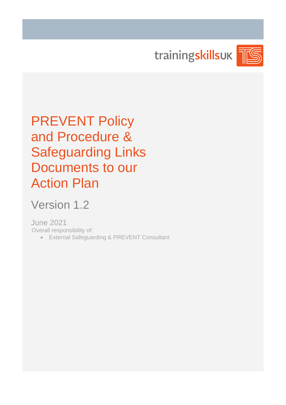trainingskillsuk



PREVENT Policy and Procedure & Safeguarding Links Documents to our Action Plan

Version 1.2

June 2021 Overall responsibility of:

• External Safeguarding & PREVENT Consultant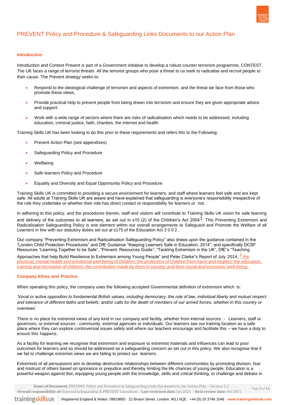

Page **2** of **11**

# PREVENT Policy and Procedure & Safeguarding Links Documents to our Action Plan

# **Introduction**

Introduction and Context Prevent is part of a Government initiative to develop a robust counter terrorism programme, CONTEST. The UK faces a range of terrorist threats. All the terrorist groups who pose a threat to us seek to radicalise and recruit people to their cause. The Prevent strategy seeks to:

- Respond to the ideological challenge of terrorism and aspects of extremism, and the threat we face from those who promote these views.
- Provide practical help to prevent people from being drawn into terrorism and ensure they are given appropriate advice and support.
- Work with a wide range of sectors where there are risks of radicalisation which needs to be addressed, including education, criminal justice, faith, charities, the internet and health

Training Skills UK has been looking to do this prior to these requirements and refers this to the Following:

- Prevent Action Plan (see appendixes)
- Safeguarding Policy and Procedure
- **Wellbeing**
- Safe learners Policy and Procedure
- Equality and Diversity and Equal Opportunity Policy and Procedure

Training Skills UK is committed to providing a secure environment for learners, and staff where learners feel safe and are kept safe. All adults at Training Skills UK are aware and have explained that safeguarding is everyone's responsibility irrespective of the role they undertake or whether their role has direct contact or responsibility for learners or not.

In adhering to this policy, and the procedures therein, staff and visitors will contribute to Training Skills UK vision for safe learning and delivery of the outcomes to all learners, as set out in s10 (2) of the Children's Act 2004<sup>1</sup>. This Preventing Extremism and Radicalisation Safeguarding Policy is one element within our overall arrangements to Safeguard and Promote the Welfare of all Learners in line with our statutory duties set out at s175 of the Education Act 2 0 0 2 .

Our company "Preventing Extremism and Radicalisation Safeguarding Policy" also draws upon the guidance contained in the "London Child Protection Procedures" and DfE Guidance "Keeping Learners Safe in Education, 2014"; and specifically DCSF Resources "Learning Together to be Safe", "Prevent: Resources Guide", "Tackling Extremism in the UK", DfE"s "Teaching

Approaches that help Build Resilience to Extremism among Young People" and Peter Clarke"s Report of July 2014. *1 the* physical, mental health and emotional well-being of children; the protection of children from harm and neglect; the education, training and recreation of children; the contribution made by them to society; and their social and economic well-being.

#### **Company Ethos and Practice**

When operating this policy, the company uses the following accepted Governmental definition of extremism which is:

*'Vocal or active opposition to fundamental British values, including democracy, the rule of law, individual liberty and mutual respect and tolerance of different faiths and beliefs; and/or calls for the death of members of our armed forces, whether in this country or overseas'.*

There is no place for extremist views of any kind in our company and facility, whether from internal sources - Learners, staff or governors, or external sources - community, external agencies or individuals. Our learners see our training location as a safe place where they can explore controversial issues safely and where our teachers encourage and facilitate this – we have a duty to ensure this happens.

As a facility for learning we recognise that extremism and exposure to extremist materials and influences can lead to poor outcomes for learners and so should be addressed as a safeguarding concern as set out in this policy. We also recognise that if we fail to challenge extremist views we are failing to protect our learners.

Extremists of all persuasions aim to develop destructive relationships between different communities by promoting division, fear and mistrust of others based on ignorance or prejudice and thereby limiting the life chances of young people. Education is a powerful weapon against this; equipping young people with the knowledge, skills and critical thinking, to challenge and debate in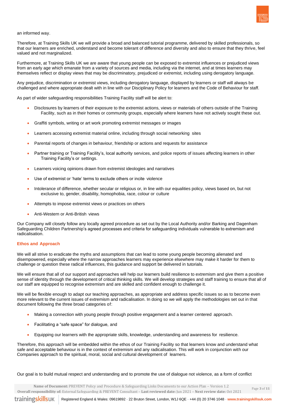

Page **3** of **11**

#### an informed way.

Therefore, at Training Skills UK we will provide a broad and balanced tutorial programme, delivered by skilled professionals, so that our learners are enriched, understand and become tolerant of difference and diversity and also to ensure that they thrive, feel valued and not marginalized.

Furthermore, at Training Skills UK we are aware that young people can be exposed to extremist influences or prejudiced views from an early age which emanate from a variety of sources and media, including via the internet, and at times learners may themselves reflect or display views that may be discriminatory, prejudiced or extremist, including using derogatory language.

Any prejudice, discrimination or extremist views, including derogatory language, displayed by learners or staff will always be challenged and where appropriate dealt with in line with our Disciplinary Policy for learners and the Code of Behaviour for staff.

As part of wider safeguarding responsibilities Training Facility staff will be alert to:

- Disclosures by learners of their exposure to the extremist actions, views or materials of others outside of the Training Facility, such as in their homes or community groups, especially where learners have not actively sought these out.
- Graffiti symbols, writing or art work promoting extremist messages or images
- Learners accessing extremist material online, including through social networking sites
- Parental reports of changes in behaviour, friendship or actions and requests for assistance
- Partner training or Training Facility's, local authority services, and police reports of issues affecting learners in other Training Facility's or settings.
- Learners voicing opinions drawn from extremist ideologies and narratives
- Use of extremist or 'hate' terms to exclude others or incite violence
- Intolerance of difference, whether secular or religious or, in line with our equalities policy, views based on, but not exclusive to, gender, disability, homophobia, race, colour or culture
- Attempts to impose extremist views or practices on others
- Anti-Western or Anti-British views

Our Company will closely follow any locally agreed procedure as set out by the Local Authority and/or Barking and Dagenham Safeguarding Children Partnership's agreed processes and criteria for safeguarding individuals vulnerable to extremism and radicalisation.

### **Ethos and Approach**

We will all strive to eradicate the myths and assumptions that can lead to some young people becoming alienated and disempowered, especially where the narrow approaches learners may experience elsewhere may make it harder for them to challenge or question these radical influences, this guidance and support be delivered in tutorials.

We will ensure that all of our support and approaches will help our learners build resilience to extremism and give them a positive sense of identity through the development of critical thinking skills. We will develop strategies and staff training to ensure that all of our staff are equipped to recognise extremism and are skilled and confident enough to challenge it.

We will be flexible enough to adapt our teaching approaches, as appropriate and address specific issues so as to become even more relevant to the current issues of extremism and radicalisation. In doing so we will apply the methodologies set out in that document following the three broad categories of:

- Making a connection with young people through positive engagement and a learner centered approach.
- Facilitating a "safe space" for dialogue, and
- Equipping our learners with the appropriate skills, knowledge, understanding and awareness for resilience.

Therefore, this approach will be embedded within the ethos of our Training Facility so that learners know and understand what safe and acceptable behaviour is in the context of extremism and any radicalisation. This will work in conjunction with our Companies approach to the spiritual, moral, social and cultural development of learners.

Our goal is to build mutual respect and understanding and to promote the use of dialogue not violence, as a form of conflict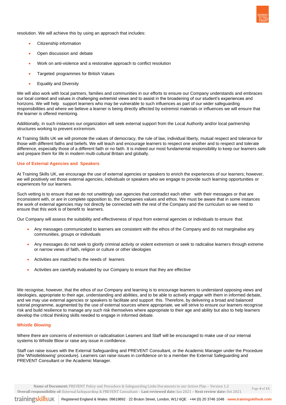resolution. We will achieve this by using an approach that includes:

- Citizenship information
- Open discussion and debate
- Work on anti-violence and a restorative approach to conflict resolution
- Targeted programmes for British Values
- Equality and Diversity

We will also work with local partners, families and communities in our efforts to ensure our Company understands and embraces our local context and values in challenging extremist views and to assist in the broadening of our student's experiences and horizons. We will help support learners who may be vulnerable to such influences as part of our wider safeguarding responsibilities and where we believe a learner is being directly affected by extremist materials or influences we will ensure that the learner is offered mentoring.

Additionally, in such instances our organization will seek external support from the Local Authority and/or local partnership structures working to prevent extremism.

At Training Skills UK we will promote the values of democracy, the rule of law, individual liberty, mutual respect and tolerance for those with different faiths and beliefs. We will teach and encourage learners to respect one another and to respect and tolerate difference, especially those of a different faith or no faith. It is indeed our most fundamental responsibility to keep our learners safe and prepare them for life in modern multi-cultural Britain and globally.

# **Use of External Agencies and Speakers**

At Training Skills UK, we encourage the use of external agencies or speakers to enrich the experiences of our learners; however, we will positively vet those external agencies, individuals or speakers who we engage to provide such learning opportunities or experiences for our learners.

Such vetting is to ensure that we do not unwittingly use agencies that contradict each other with their messages or that are inconsistent with, or are in complete opposition to, the Companies values and ethos. We must be aware that in some instances the work of external agencies may not directly be connected with the rest of the Company and the curriculum so we need to ensure that this work is of benefit to learners.

Our Company will assess the suitability and effectiveness of input from external agencies or individuals to ensure that:

- Any messages communicated to learners are consistent with the ethos of the Company and do not marginalise any communities, groups or individuals
- Any messages do not seek to glorify criminal activity or violent extremism or seek to radicalise learners through extreme or narrow views of faith, religion or culture or other ideologies
- Activities are matched to the needs of learners
- Activities are carefully evaluated by our Company to ensure that they are effective

We recognise, however, that the ethos of our Company and learning is to encourage learners to understand opposing views and ideologies, appropriate to their age, understanding and abilities, and to be able to actively engage with them in informed debate, and we may use external agencies or speakers to facilitate and support this. Therefore, by delivering a broad and balanced tutorial programme, augmented by the use of external sources where appropriate, we will strive to ensure our learners recognise risk and build resilience to manage any such risk themselves where appropriate to their age and ability but also to help learners develop the critical thinking skills needed to engage in informed debate.

# **Whistle Blowing**

Where there are concerns of extremism or radicalisation Learners and Staff will be encouraged to make use of our internal systems to Whistle Blow or raise any issue in confidence.

Staff can raise issues with the External Safeguarding and PREVENT Consultant, or the Academic Manager under the Procedure (the 'Whistleblowing' procedure). Learners can raise issues in confidence on to a member the External Safeguarding and PREVENT Consultant or the Academic Manager.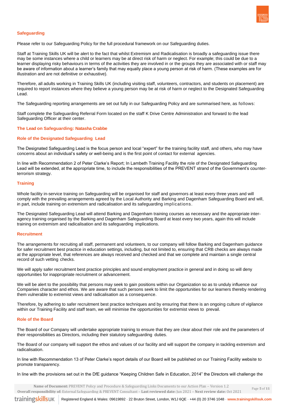

# **Safeguarding**

Please refer to our Safeguarding Policy for the full procedural framework on our Safeguarding duties.

Staff at Training Skills UK will be alert to the fact that whilst Extremism and Radicalisation is broadly a safeguarding issue there may be some instances where a child or learners may be at direct risk of harm or neglect. For example; this could be due to a learner displaying risky behaviours in terms of the activities they are involved in or the groups they are associated with or staff may be aware of information about a learner's family that may equally place a young person at risk of harm. (These examples are for illustration and are not definitive or exhaustive).

Therefore, all adults working in Training Skills UK (including visiting staff, volunteers, contractors, and students on placement) are required to report instances where they believe a young person may be at risk of harm or neglect to the Designated Safeguarding Lead.

The Safeguarding reporting arrangements are set out fully in our Safeguarding Policy and are summarised here, as follows:

Staff complete the Safeguarding Referral Form located on the staff K Drive Centre Administration and forward to the lead Safeguarding Officer at their center.

#### **The Lead on Safeguarding: Natasha Crabbe**

#### **Role of the Designated Safeguarding Lead**

The Designated Safeguarding Lead is the focus person and local "expert" for the training facility staff, and others, who may have concerns about an individual's safety or well-being and is the first point of contact for external agencies.

In line with Recommendation 2 of Peter Clarke's Report; In Lambeth Training Facility the role of the Designated Safeguarding Lead will be extended, at the appropriate time, to include the responsibilities of the PREVENT strand of the Government's counterterrorism strategy.

# **Training**

Whole facility in-service training on Safeguarding will be organised for staff and governors at least every three years and will comply with the prevailing arrangements agreed by the Local Authority and Barking and Dagenham Safeguarding Board and will, in part, include training on extremism and radicalisation and its safeguarding implications.

The Designated Safeguarding Lead will attend Barking and Dagenham training courses as necessary and the appropriate interagency training organised by the Barking and Dagenham Safeguarding Board at least every two years, again this will include training on extremism and radicalisation and its safeguarding implications.

#### **Recruitment**

The arrangements for recruiting all staff, permanent and volunteers, to our company will follow Barking and Dagenham guidance for safer recruitment best practice in education settings, including, but not limited to, ensuring that CRB checks are always made at the appropriate level, that references are always received and checked and that we complete and maintain a single central record of such vetting checks.

We will apply safer recruitment best practice principles and sound employment practice in general and in doing so will deny opportunities for inappropriate recruitment or advancement.

We will be alert to the possibility that persons may seek to gain positions within our Organization so as to unduly influence our Companies character and ethos. We are aware that such persons seek to limit the opportunities for our learners thereby rendering them vulnerable to extremist views and radicalisation as a consequence.

Therefore, by adhering to safer recruitment best practice techniques and by ensuring that there is an ongoing culture of vigilance within our Training Facility and staff team, we will minimise the opportunities for extremist views to prevail.

### **Role of the Board**

The Board of our Company will undertake appropriate training to ensure that they are clear about their role and the parameters of their responsibilities as Directors, including their statutory safeguarding duties.

The Board of our company will support the ethos and values of our facility and will support the company in tackling extremism and radicalisation.

In line with Recommendation 13 of Peter Clarke's report details of our Board will be published on our Training Facility website to promote transparency.

In line with the provisions set out in the DfE guidance "Keeping Children Safe in Education, 2014" the Directors will challenge the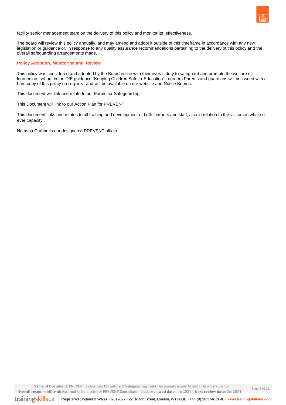

facility senior management team on the delivery of this policy and monitor its effectiveness.

The board will review this policy annually, and may amend and adopt it outside of this timeframe in accordance with any new legislation or guidance or, in response to any quality assurance recommendations pertaining to the delivery of this policy and the overall safeguarding arrangements made.

## **Policy Adoption, Monitoring and Review**

This policy was considered and adopted by the Board in line with their overall duty to safeguard and promote the welfare of learners as set out in the DfE guidance "Keeping Children Safe in Education" Learners Parents and guardians will be issued with a hard copy of this policy on request and will be available on our website and Notice Boards.

This document will link and relate to our Forms for Safeguarding

This Document will link to our Action Plan for PREVENT

This document links and relates to all training and development of both learners and staff, also in relation to the visitors in what so ever capacity.

Natasha Crabbe is our designated PREVENT officer.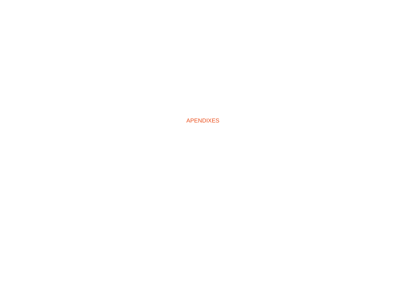APENDIXES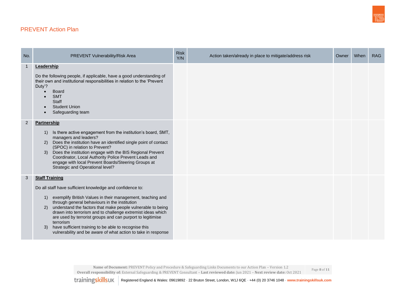# PREVENT Action Plan

| No.            | PREVENT Vulnerability/Risk Area                                                                                                                                                                                                                                                                                                                                                                                                                                                                                                                        | <b>Risk</b><br>Y/N | Action taken/already in place to mitigate/address risk | Owner | When | <b>RAG</b> |
|----------------|--------------------------------------------------------------------------------------------------------------------------------------------------------------------------------------------------------------------------------------------------------------------------------------------------------------------------------------------------------------------------------------------------------------------------------------------------------------------------------------------------------------------------------------------------------|--------------------|--------------------------------------------------------|-------|------|------------|
| $\mathbf{1}$   | Leadership<br>Do the following people, if applicable, have a good understanding of<br>their own and institutional responsibilities in relation to the 'Prevent<br>Duty'?<br><b>Board</b><br><b>SMT</b><br><b>Staff</b><br><b>Student Union</b><br>Safeguarding team                                                                                                                                                                                                                                                                                    |                    |                                                        |       |      |            |
| $\overline{2}$ | <b>Partnership</b><br>Is there active engagement from the institution's board, SMT,<br>1)<br>managers and leaders?<br>Does the institution have an identified single point of contact<br>(2)<br>(SPOC) in relation to Prevent?<br>Does the institution engage with the BIS Regional Prevent<br>3)<br>Coordinator, Local Authority Police Prevent Leads and<br>engage with local Prevent Boards/Steering Groups at<br>Strategic and Operational level?                                                                                                  |                    |                                                        |       |      |            |
| 3              | <b>Staff Training</b><br>Do all staff have sufficient knowledge and confidence to:<br>exemplify British Values in their management, teaching and<br>1)<br>through general behaviours in the institution<br>understand the factors that make people vulnerable to being<br>2)<br>drawn into terrorism and to challenge extremist ideas which<br>are used by terrorist groups and can purport to legitimise<br>terrorism<br>have sufficient training to be able to recognise this<br>3)<br>vulnerability and be aware of what action to take in response |                    |                                                        |       |      |            |

 **Name of Document:** PREVENT Policy and Procedure & Safeguarding Links Documents to our Action Plan – Version 1.2 **Overall responsibility of:** External Safeguarding & PREVENT Consultant – **Last reviewed date:** Jun 2021 – **Next review date:** Oct 2021

Page **8** of **11**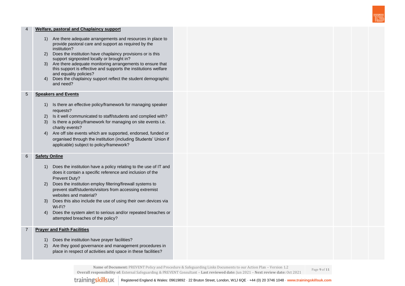

### 4 **Welfare, pastoral and Chaplaincy support**

- 1) Are there adequate arrangements and resources in place to provide pastoral care and support as required by the institution?
- 2) Does the institution have chaplaincy provisions or is this support signposted locally or brought in?
- 3) Are there adequate monitoring arrangements to ensure that this support is effective and supports the institutions welfare and equality policies?
- 4) Does the chaplaincy support reflect the student demographic and need?

### 5 **Speakers and Events**

- 1) Is there an effective policy/framework for managing speaker requests?
- 2) Is it well communicated to staff/students and complied with?
- 3) Is there a policy/framework for managing on site events i.e. charity events?
- 4) Are off site events which are supported, endorsed, funded or organised through the institution (including Students' Union if applicable) subject to policy/framework?

# 6 **Safety Online**

- 1) Does the institution have a policy relating to the use of IT and does it contain a specific reference and inclusion of the Prevent Duty?
- 2) Does the institution employ filtering/firewall systems to prevent staff/students/visitors from accessing extremist websites and material?
- 3) Does this also include the use of using their own devices via Wi-Fi?
- 4) Does the system alert to serious and/or repeated breaches or attempted breaches of the policy?

# 7 **Prayer and Faith Facilities**

- 1) Does the institution have prayer facilities?
- 2) Are they good governance and management procedures in place in respect of activities and space in these facilities?

 **Name of Document:** PREVENT Policy and Procedure & Safeguarding Links Documents to our Action Plan – Version 1.2 **Overall responsibility of:** External Safeguarding & PREVENT Consultant – **Last reviewed date:** Jun 2021 – **Next review date:** Oct 2021

Page **9** of **11**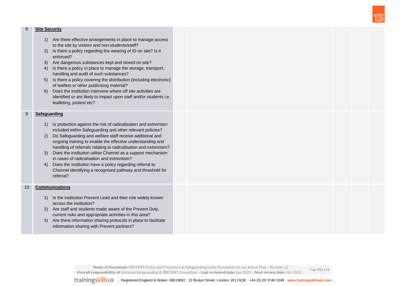

#### 8 **Site Security**

- 1) Are there effective arrangements in place to manage access to the site by visitors and non-students/staff?
- 2) Is there a policy regarding the wearing of ID on site? Is it enforced?
- 3) Are dangerous substances kept and stored on site?
- 4) Is there a policy in place to manage the storage, transport, handling and audit of such substances?
- 5) Is there a policy covering the distribution (including electronic) of leaflets or other publicising material?
- 6) Does the institution intervene where off site activities are identified or are likely to impact upon staff and/or students i.e. leafleting, protest etc?

# 9 **Safeguarding**

- 1) Is protection against the risk of radicalisation and extremism included within Safeguarding and other relevant policies?
- 2) Do Safeguarding and welfare staff receive additional and ongoing training to enable the effective understanding and handling of referrals relating to radicalisation and extremism?
- 3) Does the institution utilise Channel as a support mechanism in cases of radicalisation and extremism?
- 4) Does the institution have a policy regarding referral to Channel identifying a recognised pathway and threshold for referral?

## 10 **Communications**

- 1) Is the institution Prevent Lead and their role widely known across the institution?
- 2) Are staff and students made aware of the Prevent Duty, current risks and appropriate activities in this area?
- 3) Are there information sharing protocols in place to facilitate information sharing with Prevent partners?